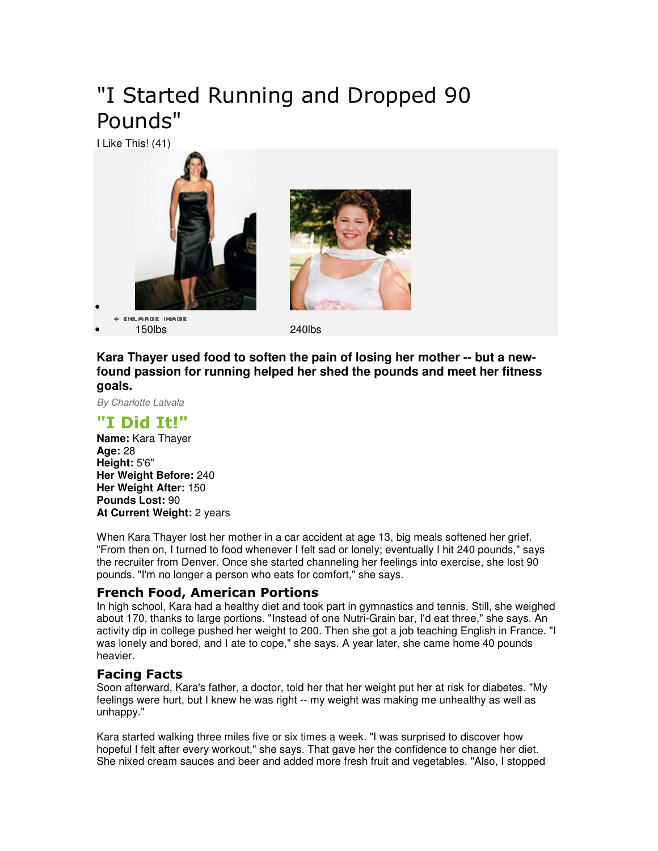# "I Started Running and Dropped 90 Pounds"

I Like This! (41)



+ ENLARGE IMAGE • 150lbs 240lbs

**Kara Thayer used food to soften the pain of losing her mother -- but a newfound passion for running helped her shed the pounds and meet her fitness goals.** 

By Charlotte Latvala

### "I Did It!"

**Name:** Kara Thayer **Age:** 28 **Height:** 5'6" **Her Weight Before:** 240 **Her Weight After:** 150 **Pounds Lost:** 90 **At Current Weight:** 2 years

When Kara Thayer lost her mother in a car accident at age 13, big meals softened her grief. "From then on, I turned to food whenever I felt sad or lonely; eventually I hit 240 pounds," says the recruiter from Denver. Once she started channeling her feelings into exercise, she lost 90 pounds. "I'm no longer a person who eats for comfort," she says.

#### French Food, American Portions

In high school, Kara had a healthy diet and took part in gymnastics and tennis. Still, she weighed about 170, thanks to large portions. "Instead of one Nutri-Grain bar, I'd eat three," she says. An activity dip in college pushed her weight to 200. Then she got a job teaching English in France. "I was lonely and bored, and I ate to cope," she says. A year later, she came home 40 pounds heavier.

#### Facing Facts

Soon afterward, Kara's father, a doctor, told her that her weight put her at risk for diabetes. "My feelings were hurt, but I knew he was right -- my weight was making me unhealthy as well as unhappy."

Kara started walking three miles five or six times a week. "I was surprised to discover how hopeful I felt after every workout," she says. That gave her the confidence to change her diet. She nixed cream sauces and beer and added more fresh fruit and vegetables. "Also, I stopped